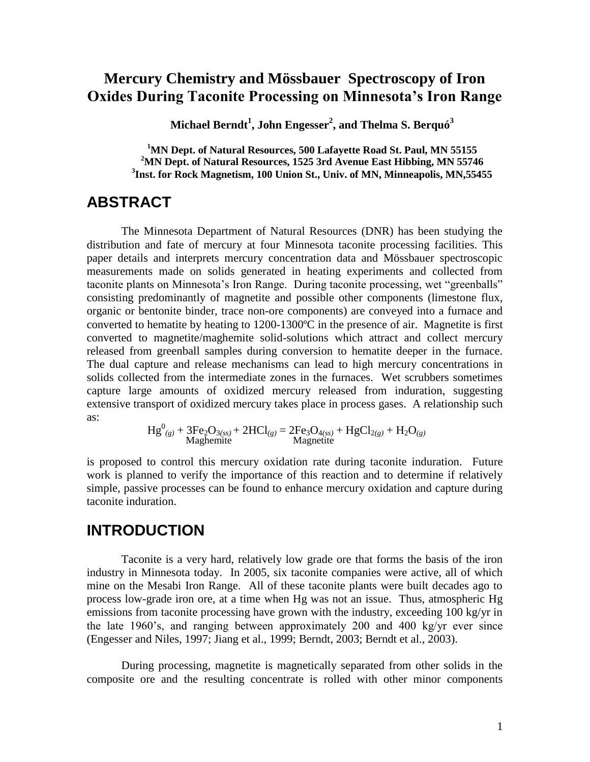## **Mercury Chemistry and Mössbauer Spectroscopy of Iron Oxides During Taconite Processing on Minnesota's Iron Range**

**Michael Berndt<sup>1</sup> , John Engesser<sup>2</sup> , and Thelma S. Berquó<sup>3</sup>**

**<sup>1</sup>MN Dept. of Natural Resources, 500 Lafayette Road St. Paul, MN 55155 <sup>2</sup>MN Dept. of Natural Resources, 1525 3rd Avenue East Hibbing, MN 55746 3 Inst. for Rock Magnetism, 100 Union St., Univ. of MN, Minneapolis, MN,55455**

### **ABSTRACT**

The Minnesota Department of Natural Resources (DNR) has been studying the distribution and fate of mercury at four Minnesota taconite processing facilities. This paper details and interprets mercury concentration data and Mössbauer spectroscopic measurements made on solids generated in heating experiments and collected from taconite plants on Minnesota's Iron Range. During taconite processing, wet "greenballs" consisting predominantly of magnetite and possible other components (limestone flux, organic or bentonite binder, trace non-ore components) are conveyed into a furnace and converted to hematite by heating to 1200-1300ºC in the presence of air. Magnetite is first converted to magnetite/maghemite solid-solutions which attract and collect mercury released from greenball samples during conversion to hematite deeper in the furnace. The dual capture and release mechanisms can lead to high mercury concentrations in solids collected from the intermediate zones in the furnaces. Wet scrubbers sometimes capture large amounts of oxidized mercury released from induration, suggesting extensive transport of oxidized mercury takes place in process gases. A relationship such as:

$$
Hg^{0}_{(g)} + 3Fe_{2}O_{3(ss)} + 2HCl_{(g)} = 2Fe_{3}O_{4(ss)} + HgCl_{2(g)} + H_{2}O_{(g)}
$$
  
Magnetic

is proposed to control this mercury oxidation rate during taconite induration. Future work is planned to verify the importance of this reaction and to determine if relatively simple, passive processes can be found to enhance mercury oxidation and capture during taconite induration.

#### **INTRODUCTION**

Taconite is a very hard, relatively low grade ore that forms the basis of the iron industry in Minnesota today. In 2005, six taconite companies were active, all of which mine on the Mesabi Iron Range. All of these taconite plants were built decades ago to process low-grade iron ore, at a time when Hg was not an issue. Thus, atmospheric Hg emissions from taconite processing have grown with the industry, exceeding 100 kg/yr in the late 1960's, and ranging between approximately 200 and 400 kg/yr ever since (Engesser and Niles, 1997; Jiang et al., 1999; Berndt, 2003; Berndt et al., 2003).

During processing, magnetite is magnetically separated from other solids in the composite ore and the resulting concentrate is rolled with other minor components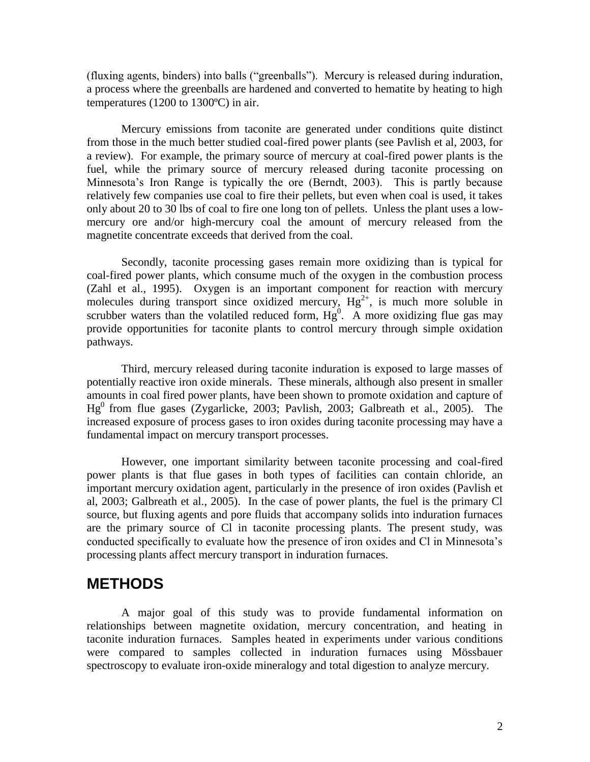(fluxing agents, binders) into balls ("greenballs"). Mercury is released during induration, a process where the greenballs are hardened and converted to hematite by heating to high temperatures (1200 to 1300ºC) in air.

Mercury emissions from taconite are generated under conditions quite distinct from those in the much better studied coal-fired power plants (see Pavlish et al, 2003, for a review). For example, the primary source of mercury at coal-fired power plants is the fuel, while the primary source of mercury released during taconite processing on Minnesota's Iron Range is typically the ore (Berndt, 2003). This is partly because relatively few companies use coal to fire their pellets, but even when coal is used, it takes only about 20 to 30 lbs of coal to fire one long ton of pellets. Unless the plant uses a lowmercury ore and/or high-mercury coal the amount of mercury released from the magnetite concentrate exceeds that derived from the coal.

Secondly, taconite processing gases remain more oxidizing than is typical for coal-fired power plants, which consume much of the oxygen in the combustion process (Zahl et al., 1995). Oxygen is an important component for reaction with mercury molecules during transport since oxidized mercury,  $Hg^{2+}$ , is much more soluble in scrubber waters than the volatiled reduced form,  $Hg^0$ . A more oxidizing flue gas may provide opportunities for taconite plants to control mercury through simple oxidation pathways.

Third, mercury released during taconite induration is exposed to large masses of potentially reactive iron oxide minerals. These minerals, although also present in smaller amounts in coal fired power plants, have been shown to promote oxidation and capture of  $Hg<sup>0</sup>$  from flue gases (Zygarlicke, 2003; Pavlish, 2003; Galbreath et al., 2005). The increased exposure of process gases to iron oxides during taconite processing may have a fundamental impact on mercury transport processes.

However, one important similarity between taconite processing and coal-fired power plants is that flue gases in both types of facilities can contain chloride, an important mercury oxidation agent, particularly in the presence of iron oxides (Pavlish et al, 2003; Galbreath et al., 2005). In the case of power plants, the fuel is the primary Cl source, but fluxing agents and pore fluids that accompany solids into induration furnaces are the primary source of Cl in taconite processing plants. The present study, was conducted specifically to evaluate how the presence of iron oxides and Cl in Minnesota's processing plants affect mercury transport in induration furnaces.

### **METHODS**

A major goal of this study was to provide fundamental information on relationships between magnetite oxidation, mercury concentration, and heating in taconite induration furnaces. Samples heated in experiments under various conditions were compared to samples collected in induration furnaces using Mössbauer spectroscopy to evaluate iron-oxide mineralogy and total digestion to analyze mercury.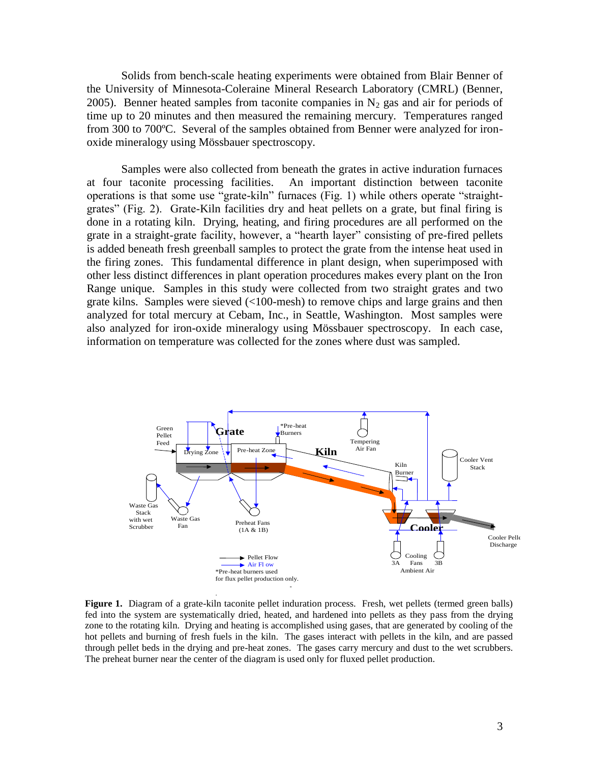Solids from bench-scale heating experiments were obtained from Blair Benner of the University of Minnesota-Coleraine Mineral Research Laboratory (CMRL) (Benner, 2005). Benner heated samples from taconite companies in  $N_2$  gas and air for periods of time up to 20 minutes and then measured the remaining mercury. Temperatures ranged from 300 to 700ºC. Several of the samples obtained from Benner were analyzed for ironoxide mineralogy using Mössbauer spectroscopy.

Samples were also collected from beneath the grates in active induration furnaces at four taconite processing facilities. An important distinction between taconite operations is that some use "grate-kiln" furnaces (Fig. 1) while others operate "straightgrates" (Fig. 2). Grate-Kiln facilities dry and heat pellets on a grate, but final firing is done in a rotating kiln. Drying, heating, and firing procedures are all performed on the grate in a straight-grate facility, however, a "hearth layer" consisting of pre-fired pellets is added beneath fresh greenball samples to protect the grate from the intense heat used in the firing zones. This fundamental difference in plant design, when superimposed with other less distinct differences in plant operation procedures makes every plant on the Iron Range unique. Samples in this study were collected from two straight grates and two grate kilns. Samples were sieved (<100-mesh) to remove chips and large grains and then analyzed for total mercury at Cebam, Inc., in Seattle, Washington. Most samples were also analyzed for iron-oxide mineralogy using Mössbauer spectroscopy. In each case, information on temperature was collected for the zones where dust was sampled.



Figure 1. Diagram of a grate-kiln taconite pellet induration process. Fresh, wet pellets (termed green balls) fed into the system are systematically dried, heated, and hardened into pellets as they pass from the drying zone to the rotating kiln. Drying and heating is accomplished using gases, that are generated by cooling of the hot pellets and burning of fresh fuels in the kiln. The gases interact with pellets in the kiln, and are passed through pellet beds in the drying and pre-heat zones. The gases carry mercury and dust to the wet scrubbers. The preheat burner near the center of the diagram is used only for fluxed pellet production.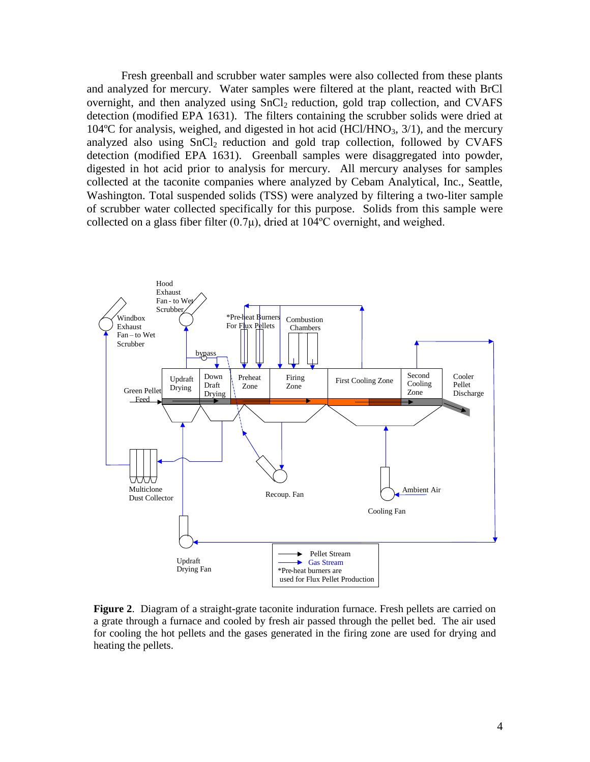Fresh greenball and scrubber water samples were also collected from these plants and analyzed for mercury. Water samples were filtered at the plant, reacted with BrCl overnight, and then analyzed using  $SnCl<sub>2</sub>$  reduction, gold trap collection, and CVAFS detection (modified EPA 1631). The filters containing the scrubber solids were dried at 104 $^{\circ}$ C for analysis, weighed, and digested in hot acid (HCl/HNO<sub>3</sub>, 3/1), and the mercury analyzed also using  $SnCl<sub>2</sub>$  reduction and gold trap collection, followed by CVAFS detection (modified EPA 1631). Greenball samples were disaggregated into powder, digested in hot acid prior to analysis for mercury. All mercury analyses for samples collected at the taconite companies where analyzed by Cebam Analytical, Inc., Seattle, Washington. Total suspended solids (TSS) were analyzed by filtering a two-liter sample of scrubber water collected specifically for this purpose. Solids from this sample were collected on a glass fiber filter  $(0.7\mu)$ , dried at 104°C overnight, and weighed.



**Figure 2**. Diagram of a straight-grate taconite induration furnace. Fresh pellets are carried on a grate through a furnace and cooled by fresh air passed through the pellet bed. The air used for cooling the hot pellets and the gases generated in the firing zone are used for drying and heating the pellets.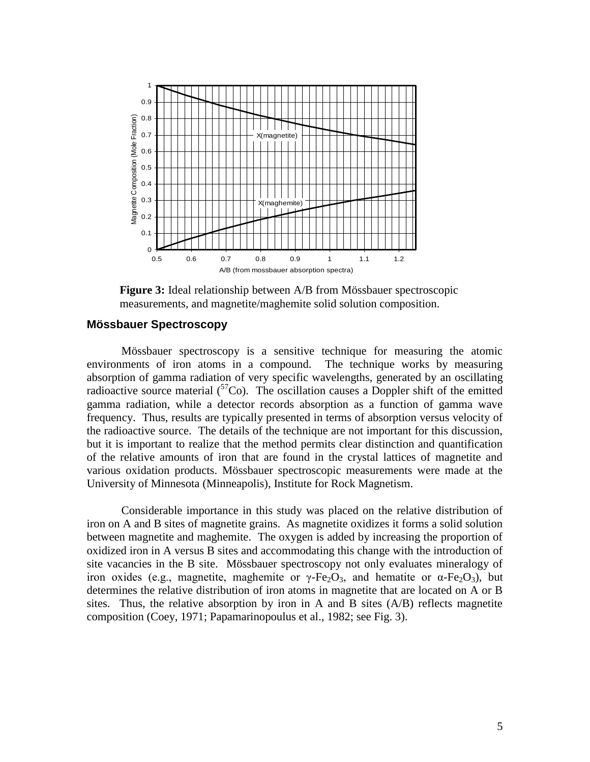

**Figure 3:** Ideal relationship between A/B from Mössbauer spectroscopic measurements, and magnetite/maghemite solid solution composition.

#### **Mössbauer Spectroscopy**

Mössbauer spectroscopy is a sensitive technique for measuring the atomic environments of iron atoms in a compound. The technique works by measuring absorption of gamma radiation of very specific wavelengths, generated by an oscillating radioactive source material  $\binom{57}{0}$ . The oscillation causes a Doppler shift of the emitted gamma radiation, while a detector records absorption as a function of gamma wave frequency. Thus, results are typically presented in terms of absorption versus velocity of the radioactive source. The details of the technique are not important for this discussion, but it is important to realize that the method permits clear distinction and quantification of the relative amounts of iron that are found in the crystal lattices of magnetite and various oxidation products. Mössbauer spectroscopic measurements were made at the University of Minnesota (Minneapolis), Institute for Rock Magnetism.

Considerable importance in this study was placed on the relative distribution of iron on A and B sites of magnetite grains. As magnetite oxidizes it forms a solid solution between magnetite and maghemite. The oxygen is added by increasing the proportion of oxidized iron in A versus B sites and accommodating this change with the introduction of site vacancies in the B site. Mössbauer spectroscopy not only evaluates mineralogy of iron oxides (e.g., magnetite, maghemite or  $\gamma$ -Fe<sub>2</sub>O<sub>3</sub>, and hematite or  $\alpha$ -Fe<sub>2</sub>O<sub>3</sub>), but determines the relative distribution of iron atoms in magnetite that are located on A or B sites. Thus, the relative absorption by iron in A and B sites (A/B) reflects magnetite composition (Coey, 1971; Papamarinopoulus et al., 1982; see Fig. 3).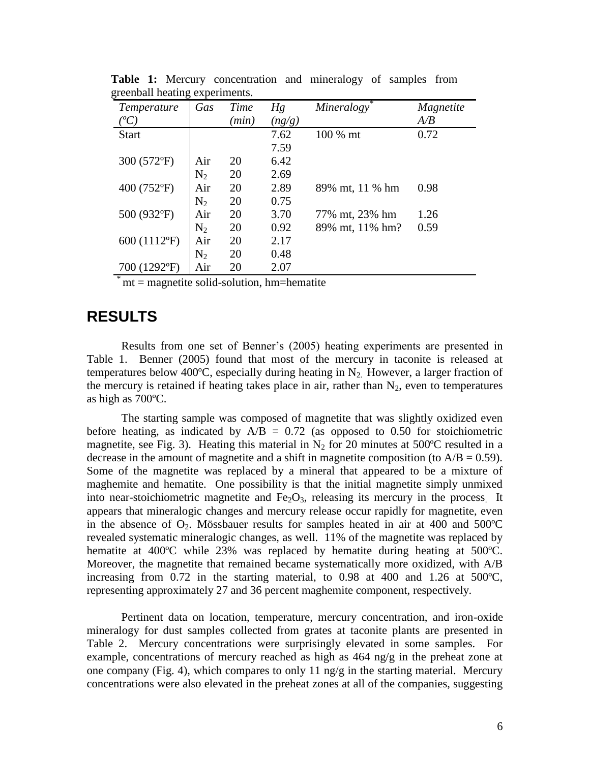| Temperature          | Gas   | Time | Hg     | Mineralogy      | Magnetite |
|----------------------|-------|------|--------|-----------------|-----------|
| $^{\prime\prime}C$ , |       | min) | (ng/g) |                 | A/B       |
| <b>Start</b>         |       |      | 7.62   | 100 % mt        | 0.72      |
|                      |       |      | 7.59   |                 |           |
| 300 (572°F)          | Air   | 20   | 6.42   |                 |           |
|                      | $N_2$ | 20   | 2.69   |                 |           |
| 400 (752°F)          | Air   | 20   | 2.89   | 89% mt, 11 % hm | 0.98      |
|                      | $N_2$ | 20   | 0.75   |                 |           |
| 500 (932°F)          | Air   | 20   | 3.70   | 77% mt, 23% hm  | 1.26      |
|                      | $N_2$ | 20   | 0.92   | 89% mt, 11% hm? | 0.59      |
| 600 (1112°F)         | Air   | 20   | 2.17   |                 |           |
|                      | $N_2$ | 20   | 0.48   |                 |           |
| 700 (1292°F)         | Air   | 20   | 2.07   |                 |           |

**Table 1:** Mercury concentration and mineralogy of samples from greenball heating experiments.

 $mt = magnetic solid-solution, hm=hematite$ 

### **RESULTS**

Results from one set of Benner's (2005) heating experiments are presented in Table 1. Benner (2005) found that most of the mercury in taconite is released at temperatures below 400°C, especially during heating in  $N_2$ . However, a larger fraction of the mercury is retained if heating takes place in air, rather than  $N_2$ , even to temperatures as high as 700ºC.

The starting sample was composed of magnetite that was slightly oxidized even before heating, as indicated by  $A/B = 0.72$  (as opposed to 0.50 for stoichiometric magnetite, see Fig. 3). Heating this material in  $N_2$  for 20 minutes at 500°C resulted in a decrease in the amount of magnetite and a shift in magnetite composition (to  $A/B = 0.59$ ). Some of the magnetite was replaced by a mineral that appeared to be a mixture of maghemite and hematite. One possibility is that the initial magnetite simply unmixed into near-stoichiometric magnetite and  $Fe<sub>2</sub>O<sub>3</sub>$ , releasing its mercury in the process. It appears that mineralogic changes and mercury release occur rapidly for magnetite, even in the absence of  $O_2$ . Mössbauer results for samples heated in air at 400 and 500°C revealed systematic mineralogic changes, as well. 11% of the magnetite was replaced by hematite at 400<sup>o</sup>C while 23% was replaced by hematite during heating at 500<sup>o</sup>C. Moreover, the magnetite that remained became systematically more oxidized, with A/B increasing from 0.72 in the starting material, to 0.98 at 400 and 1.26 at 500ºC, representing approximately 27 and 36 percent maghemite component, respectively.

Pertinent data on location, temperature, mercury concentration, and iron-oxide mineralogy for dust samples collected from grates at taconite plants are presented in Table 2. Mercury concentrations were surprisingly elevated in some samples. For example, concentrations of mercury reached as high as 464 ng/g in the preheat zone at one company (Fig. 4), which compares to only 11 ng/g in the starting material. Mercury concentrations were also elevated in the preheat zones at all of the companies, suggesting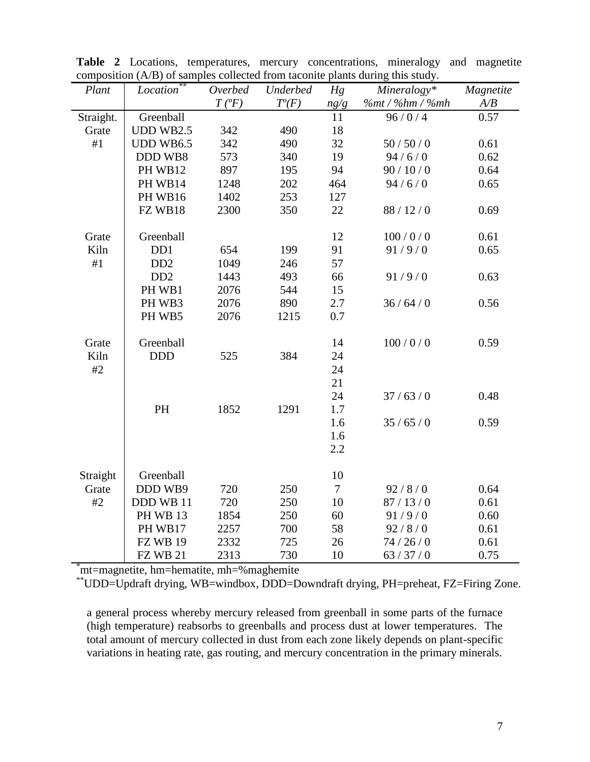| Plant     | Location                    | composition $(A, D)$ or samples conceited from taconite plants during this study.<br>Underbed<br>Mineralogy*<br>Overbed<br>Hg<br>Magnetite |          |        |                 |      |
|-----------|-----------------------------|--------------------------------------------------------------------------------------------------------------------------------------------|----------|--------|-----------------|------|
|           |                             | $T(^oF)$                                                                                                                                   | $T^o(F)$ | ng/g   | %mt / %hm / %mh | A/B  |
| Straight. | Greenball                   |                                                                                                                                            |          | 11     | 96/0/4          | 0.57 |
| Grate     | <b>UDD WB2.5</b>            | 342                                                                                                                                        | 490      | 18     |                 |      |
| #1        | <b>UDD WB6.5</b>            | 342                                                                                                                                        | 490      | 32     | 50/50/0         | 0.61 |
|           | DDD WB8                     | 573                                                                                                                                        | 340      | 19     | 94/6/0          | 0.62 |
|           |                             | 897                                                                                                                                        | 195      | 94     | 90/10/0         | 0.64 |
|           | PH WB12                     |                                                                                                                                            | 202      |        |                 |      |
|           | PH WB14                     | 1248                                                                                                                                       |          | 464    | 94/6/0          | 0.65 |
|           | PH WB16                     | 1402                                                                                                                                       | 253      | 127    |                 |      |
|           | FZ WB18                     | 2300                                                                                                                                       | 350      | 22     | 88/12/0         | 0.69 |
| Grate     | Greenball                   |                                                                                                                                            |          | 12     | 100/0/0         | 0.61 |
| Kiln      | D <sub>D</sub> 1            | 654                                                                                                                                        | 199      | 91     | 91/9/0          | 0.65 |
| #1        | D <sub>D</sub> <sub>2</sub> | 1049                                                                                                                                       | 246      | 57     |                 |      |
|           | D <sub>D</sub> <sub>2</sub> | 1443                                                                                                                                       | 493      | 66     | 91/9/0          | 0.63 |
|           | PH WB1                      | 2076                                                                                                                                       | 544      | 15     |                 |      |
|           | PH WB3                      | 2076                                                                                                                                       | 890      | 2.7    | 36/64/0         | 0.56 |
|           | PH WB5                      | 2076                                                                                                                                       | 1215     | 0.7    |                 |      |
|           |                             |                                                                                                                                            |          |        |                 |      |
| Grate     | Greenball                   |                                                                                                                                            |          | 14     | 100/0/0         | 0.59 |
| Kiln      | <b>DDD</b>                  | 525                                                                                                                                        | 384      | 24     |                 |      |
| #2        |                             |                                                                                                                                            |          | 24     |                 |      |
|           |                             |                                                                                                                                            |          | 21     |                 |      |
|           |                             |                                                                                                                                            |          | 24     | 37/63/0         | 0.48 |
|           | PH                          | 1852                                                                                                                                       | 1291     | 1.7    |                 |      |
|           |                             |                                                                                                                                            |          | 1.6    | 35/65/0         | 0.59 |
|           |                             |                                                                                                                                            |          | 1.6    |                 |      |
|           |                             |                                                                                                                                            |          | 2.2    |                 |      |
|           |                             |                                                                                                                                            |          |        |                 |      |
| Straight  | Greenball                   |                                                                                                                                            |          | 10     |                 |      |
| Grate     | DDD WB9                     | 720                                                                                                                                        | 250      | $\tau$ | 92/8/0          | 0.64 |
| #2        | DDD WB 11                   | 720                                                                                                                                        | 250      | 10     | 87/13/0         | 0.61 |
|           | <b>PH WB 13</b>             | 1854                                                                                                                                       | 250      | 60     | 91/9/0          | 0.60 |
|           | PH WB17                     | 2257                                                                                                                                       | 700      | 58     | 92/8/0          | 0.61 |
|           | <b>FZ WB 19</b>             | 2332                                                                                                                                       | 725      | 26     | 74/26/0         | 0.61 |
|           | <b>FZ WB 21</b>             | 2313                                                                                                                                       | 730      | 10     | 63/37/0         | 0.75 |

**Table 2** Locations, temperatures, mercury concentrations, mineralogy and magnetite composition (A/B) of samples collected from taconite plants during this study.

\*mt=magnetite, hm=hematite, mh=%maghemite

\*\*UDD=Updraft drying, WB=windbox, DDD=Downdraft drying, PH=preheat, FZ=Firing Zone.

a general process whereby mercury released from greenball in some parts of the furnace (high temperature) reabsorbs to greenballs and process dust at lower temperatures. The total amount of mercury collected in dust from each zone likely depends on plant-specific variations in heating rate, gas routing, and mercury concentration in the primary minerals.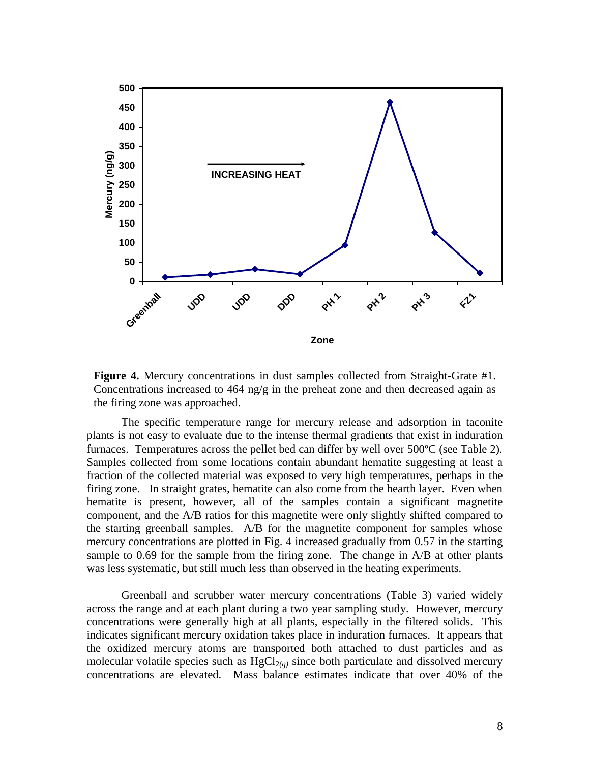

**Figure 4.** Mercury concentrations in dust samples collected from Straight-Grate #1. Concentrations increased to  $464$  ng/g in the preheat zone and then decreased again as the firing zone was approached.

The specific temperature range for mercury release and adsorption in taconite plants is not easy to evaluate due to the intense thermal gradients that exist in induration furnaces. Temperatures across the pellet bed can differ by well over 500ºC (see Table 2). Samples collected from some locations contain abundant hematite suggesting at least a fraction of the collected material was exposed to very high temperatures, perhaps in the firing zone. In straight grates, hematite can also come from the hearth layer. Even when hematite is present, however, all of the samples contain a significant magnetite component, and the A/B ratios for this magnetite were only slightly shifted compared to the starting greenball samples. A/B for the magnetite component for samples whose mercury concentrations are plotted in Fig. 4 increased gradually from 0.57 in the starting sample to 0.69 for the sample from the firing zone. The change in A/B at other plants was less systematic, but still much less than observed in the heating experiments.

Greenball and scrubber water mercury concentrations (Table 3) varied widely across the range and at each plant during a two year sampling study. However, mercury concentrations were generally high at all plants, especially in the filtered solids. This indicates significant mercury oxidation takes place in induration furnaces. It appears that the oxidized mercury atoms are transported both attached to dust particles and as molecular volatile species such as  $HgCl_{2(\varrho)}$  since both particulate and dissolved mercury concentrations are elevated. Mass balance estimates indicate that over 40% of the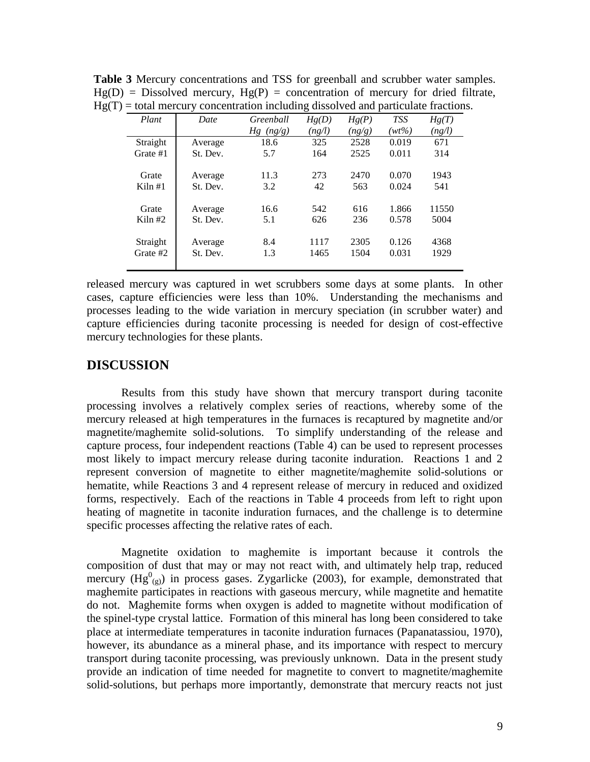| Plant     | Date     | Greenball   | Hg(D)  | Hg(P)  | <b>TSS</b> | Hg(T)  |
|-----------|----------|-------------|--------|--------|------------|--------|
|           |          | $Hg$ (ng/g) | (ng/l) | (ng/g) | $(wt\%)$   | (ng/l) |
| Straight  | Average  | 18.6        | 325    | 2528   | 0.019      | 671    |
| Grate #1  | St. Dev. | 5.7         | 164    | 2525   | 0.011      | 314    |
|           |          |             |        |        |            |        |
| Grate     | Average  | 11.3        | 273    | 2470   | 0.070      | 1943   |
| Kiln#1    | St. Dev. | 3.2         | 42     | 563    | 0.024      | 541    |
|           |          |             |        |        |            |        |
| Grate     | Average  | 16.6        | 542    | 616    | 1.866      | 11550  |
| Kiln $#2$ | St. Dev. | 5.1         | 626    | 236    | 0.578      | 5004   |
|           |          |             |        |        |            |        |
| Straight  | Average  | 8.4         | 1117   | 2305   | 0.126      | 4368   |
| Grate #2  | St. Dev. | 1.3         | 1465   | 1504   | 0.031      | 1929   |
|           |          |             |        |        |            |        |

**Table 3** Mercury concentrations and TSS for greenball and scrubber water samples.  $Hg(D) = Dissolved$  mercury,  $Hg(P) =$  concentration of mercury for dried filtrate,  $Hg(T) =$  total mercury concentration including dissolved and particulate fractions.

released mercury was captured in wet scrubbers some days at some plants. In other cases, capture efficiencies were less than 10%. Understanding the mechanisms and processes leading to the wide variation in mercury speciation (in scrubber water) and capture efficiencies during taconite processing is needed for design of cost-effective mercury technologies for these plants.

#### **DISCUSSION**

Results from this study have shown that mercury transport during taconite processing involves a relatively complex series of reactions, whereby some of the mercury released at high temperatures in the furnaces is recaptured by magnetite and/or magnetite/maghemite solid-solutions. To simplify understanding of the release and capture process, four independent reactions (Table 4) can be used to represent processes most likely to impact mercury release during taconite induration. Reactions 1 and 2 represent conversion of magnetite to either magnetite/maghemite solid-solutions or hematite, while Reactions 3 and 4 represent release of mercury in reduced and oxidized forms, respectively. Each of the reactions in Table 4 proceeds from left to right upon heating of magnetite in taconite induration furnaces, and the challenge is to determine specific processes affecting the relative rates of each.

Magnetite oxidation to maghemite is important because it controls the composition of dust that may or may not react with, and ultimately help trap, reduced mercury  $(Hg^{0}_{(g)})$  in process gases. Zygarlicke (2003), for example, demonstrated that maghemite participates in reactions with gaseous mercury, while magnetite and hematite do not. Maghemite forms when oxygen is added to magnetite without modification of the spinel-type crystal lattice. Formation of this mineral has long been considered to take place at intermediate temperatures in taconite induration furnaces (Papanatassiou, 1970), however, its abundance as a mineral phase, and its importance with respect to mercury transport during taconite processing, was previously unknown. Data in the present study provide an indication of time needed for magnetite to convert to magnetite/maghemite solid-solutions, but perhaps more importantly, demonstrate that mercury reacts not just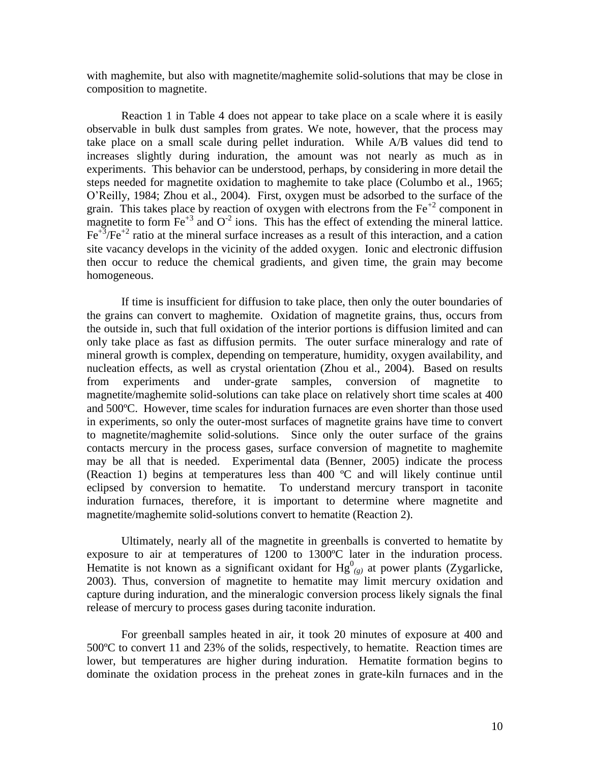with maghemite, but also with magnetite/maghemite solid-solutions that may be close in composition to magnetite.

Reaction 1 in Table 4 does not appear to take place on a scale where it is easily observable in bulk dust samples from grates. We note, however, that the process may take place on a small scale during pellet induration. While A/B values did tend to increases slightly during induration, the amount was not nearly as much as in experiments. This behavior can be understood, perhaps, by considering in more detail the steps needed for magnetite oxidation to maghemite to take place (Columbo et al., 1965; O'Reilly, 1984; Zhou et al., 2004). First, oxygen must be adsorbed to the surface of the grain. This takes place by reaction of oxygen with electrons from the  $Fe^{+2}$  component in magnetite to form  $\text{Fe}^{+3}$  and  $\text{O}^{2}$  ions. This has the effect of extending the mineral lattice.  $Fe^{+3}/Fe^{+2}$  ratio at the mineral surface increases as a result of this interaction, and a cation site vacancy develops in the vicinity of the added oxygen. Ionic and electronic diffusion then occur to reduce the chemical gradients, and given time, the grain may become homogeneous.

If time is insufficient for diffusion to take place, then only the outer boundaries of the grains can convert to maghemite. Oxidation of magnetite grains, thus, occurs from the outside in, such that full oxidation of the interior portions is diffusion limited and can only take place as fast as diffusion permits. The outer surface mineralogy and rate of mineral growth is complex, depending on temperature, humidity, oxygen availability, and nucleation effects, as well as crystal orientation (Zhou et al., 2004). Based on results from experiments and under-grate samples, conversion of magnetite to magnetite/maghemite solid-solutions can take place on relatively short time scales at 400 and 500ºC. However, time scales for induration furnaces are even shorter than those used in experiments, so only the outer-most surfaces of magnetite grains have time to convert to magnetite/maghemite solid-solutions. Since only the outer surface of the grains contacts mercury in the process gases, surface conversion of magnetite to maghemite may be all that is needed. Experimental data (Benner, 2005) indicate the process (Reaction 1) begins at temperatures less than 400 ºC and will likely continue until eclipsed by conversion to hematite. To understand mercury transport in taconite induration furnaces, therefore, it is important to determine where magnetite and magnetite/maghemite solid-solutions convert to hematite (Reaction 2).

Ultimately, nearly all of the magnetite in greenballs is converted to hematite by exposure to air at temperatures of 1200 to 1300ºC later in the induration process. Hematite is not known as a significant oxidant for  $Hg^0_{(g)}$  at power plants (Zygarlicke, 2003). Thus, conversion of magnetite to hematite may limit mercury oxidation and capture during induration, and the mineralogic conversion process likely signals the final release of mercury to process gases during taconite induration.

For greenball samples heated in air, it took 20 minutes of exposure at 400 and 500ºC to convert 11 and 23% of the solids, respectively, to hematite. Reaction times are lower, but temperatures are higher during induration. Hematite formation begins to dominate the oxidation process in the preheat zones in grate-kiln furnaces and in the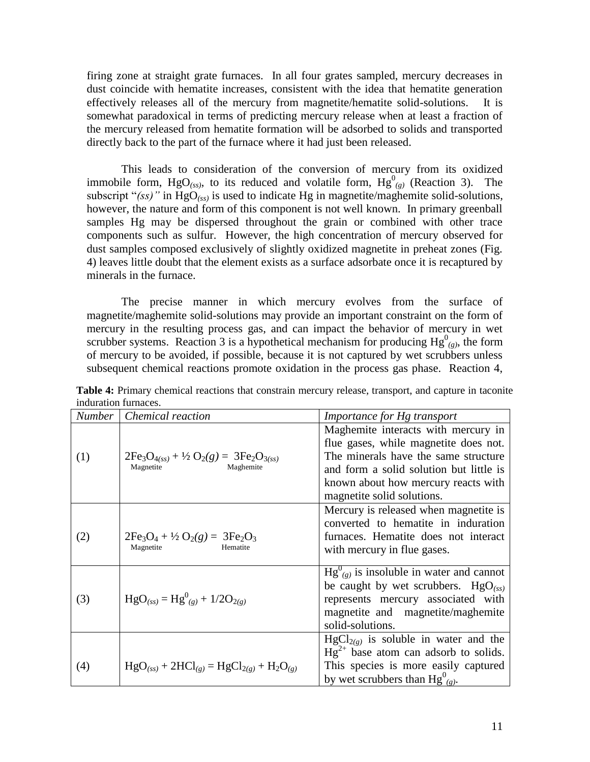firing zone at straight grate furnaces. In all four grates sampled, mercury decreases in dust coincide with hematite increases, consistent with the idea that hematite generation effectively releases all of the mercury from magnetite/hematite solid-solutions. It is somewhat paradoxical in terms of predicting mercury release when at least a fraction of the mercury released from hematite formation will be adsorbed to solids and transported directly back to the part of the furnace where it had just been released.

This leads to consideration of the conversion of mercury from its oxidized immobile form, HgO<sub>(ss)</sub>, to its reduced and volatile form,  $Hg^{0}_{(g)}$  (Reaction 3). The subscript "*(ss)"* in HgO*(ss)* is used to indicate Hg in magnetite/maghemite solid-solutions, however, the nature and form of this component is not well known. In primary greenball samples Hg may be dispersed throughout the grain or combined with other trace components such as sulfur. However, the high concentration of mercury observed for dust samples composed exclusively of slightly oxidized magnetite in preheat zones (Fig. 4) leaves little doubt that the element exists as a surface adsorbate once it is recaptured by minerals in the furnace.

The precise manner in which mercury evolves from the surface of magnetite/maghemite solid-solutions may provide an important constraint on the form of mercury in the resulting process gas, and can impact the behavior of mercury in wet scrubber systems. Reaction 3 is a hypothetical mechanism for producing  $Hg^0_{(g)}$ , the form of mercury to be avoided, if possible, because it is not captured by wet scrubbers unless subsequent chemical reactions promote oxidation in the process gas phase. Reaction 4,

| <b>Number</b> | Chemical reaction                                                                           | <i>Importance for Hg transport</i>                                                                                                                                                                                                   |
|---------------|---------------------------------------------------------------------------------------------|--------------------------------------------------------------------------------------------------------------------------------------------------------------------------------------------------------------------------------------|
| (1)           | $2Fe3O4(ss) + \frac{1}{2}O2(g) = 3Fe2O3(ss)$<br>Magnetite<br>Maghemite                      | Maghemite interacts with mercury in<br>flue gases, while magnetite does not.<br>The minerals have the same structure<br>and form a solid solution but little is<br>known about how mercury reacts with<br>magnetite solid solutions. |
| (2)           | $2Fe3O4 + \frac{1}{2}O2(g) = 3Fe2O3$<br>Magnetite<br>Hematite                               | Mercury is released when magnetite is<br>converted to hematite in induration<br>furnaces. Hematite does not interact<br>with mercury in flue gases.                                                                                  |
| (3)           | $HgO_{(ss)} = Hg_{(g)}^0 + 1/2O_{2(g)}$                                                     | $Hg^{0}_{(g)}$ is insoluble in water and cannot<br>be caught by wet scrubbers. $HgO_{(ss)}$<br>represents mercury associated with<br>magnetite and magnetite/maghemite<br>solid-solutions.                                           |
| (4)           | $HgO_{(ss)}$ + 2HCl <sub>(g)</sub> = HgCl <sub>2(g)</sub> + H <sub>2</sub> O <sub>(g)</sub> | $HgCl_{2(g)}$ is soluble in water and the<br>$Hg^{2+}$ base atom can adsorb to solids.<br>This species is more easily captured<br>by wet scrubbers than $Hg^{0}_{(g)}$ .                                                             |

**Table 4:** Primary chemical reactions that constrain mercury release, transport, and capture in taconite induration furnaces.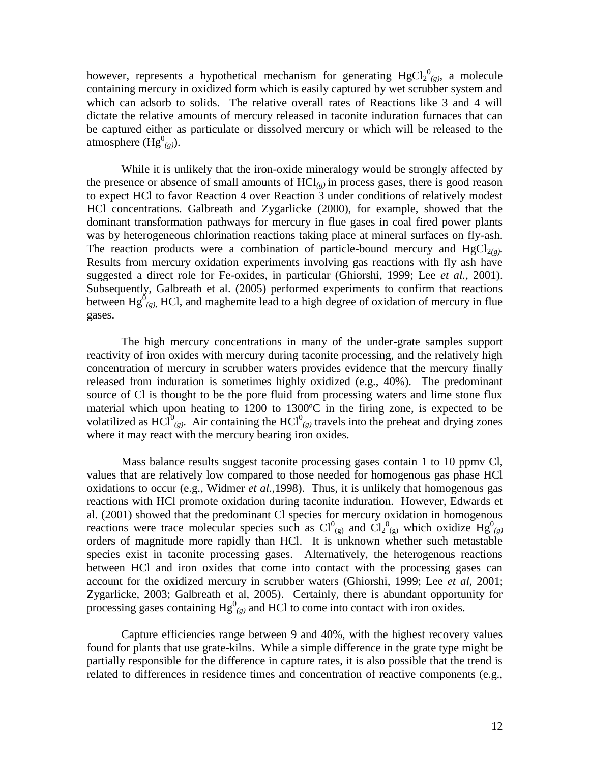however, represents a hypothetical mechanism for generating  $HgCl_2^0_{(g)}$ , a molecule containing mercury in oxidized form which is easily captured by wet scrubber system and which can adsorb to solids. The relative overall rates of Reactions like 3 and 4 will dictate the relative amounts of mercury released in taconite induration furnaces that can be captured either as particulate or dissolved mercury or which will be released to the atmosphere  $(Hg^{0}_{(g)})$ .

While it is unlikely that the iron-oxide mineralogy would be strongly affected by the presence or absence of small amounts of HCl*(g)* in process gases, there is good reason to expect HCl to favor Reaction 4 over Reaction 3 under conditions of relatively modest HCl concentrations. Galbreath and Zygarlicke (2000), for example, showed that the dominant transformation pathways for mercury in flue gases in coal fired power plants was by heterogeneous chlorination reactions taking place at mineral surfaces on fly-ash. The reaction products were a combination of particle-bound mercury and  $HgCl_{2(\varrho)}$ *.* Results from mercury oxidation experiments involving gas reactions with fly ash have suggested a direct role for Fe-oxides, in particular (Ghiorshi, 1999; Lee *et al.,* 2001). Subsequently, Galbreath et al. (2005) performed experiments to confirm that reactions between  $\mathrm{Hg}_{(g)}^0$ , HCl, and maghemite lead to a high degree of oxidation of mercury in flue gases.

The high mercury concentrations in many of the under-grate samples support reactivity of iron oxides with mercury during taconite processing, and the relatively high concentration of mercury in scrubber waters provides evidence that the mercury finally released from induration is sometimes highly oxidized (e.g., 40%). The predominant source of Cl is thought to be the pore fluid from processing waters and lime stone flux material which upon heating to 1200 to 1300ºC in the firing zone, is expected to be volatilized as  $\text{HCl}^{0}_{(g)}$ . Air containing the  $\text{HCl}^{0}_{(g)}$  travels into the preheat and drying zones where it may react with the mercury bearing iron oxides.

Mass balance results suggest taconite processing gases contain 1 to 10 ppmv Cl, values that are relatively low compared to those needed for homogenous gas phase HCl oxidations to occur (e.g., Widmer *et al*.,1998). Thus, it is unlikely that homogenous gas reactions with HCl promote oxidation during taconite induration. However, Edwards et al. (2001) showed that the predominant Cl species for mercury oxidation in homogenous reactions were trace molecular species such as  $Cl_{(g)}^{0}$  and  $Cl_{2}^{0}$  which oxidize  $Hg_{(g)}^{0}$ orders of magnitude more rapidly than HCl. It is unknown whether such metastable species exist in taconite processing gases. Alternatively, the heterogenous reactions between HCl and iron oxides that come into contact with the processing gases can account for the oxidized mercury in scrubber waters (Ghiorshi, 1999; Lee *et al,* 2001; Zygarlicke, 2003; Galbreath et al, 2005). Certainly, there is abundant opportunity for processing gases containing  $Hg^0_{(g)}$  and HCl to come into contact with iron oxides.

Capture efficiencies range between 9 and 40%, with the highest recovery values found for plants that use grate-kilns. While a simple difference in the grate type might be partially responsible for the difference in capture rates, it is also possible that the trend is related to differences in residence times and concentration of reactive components (e.g.,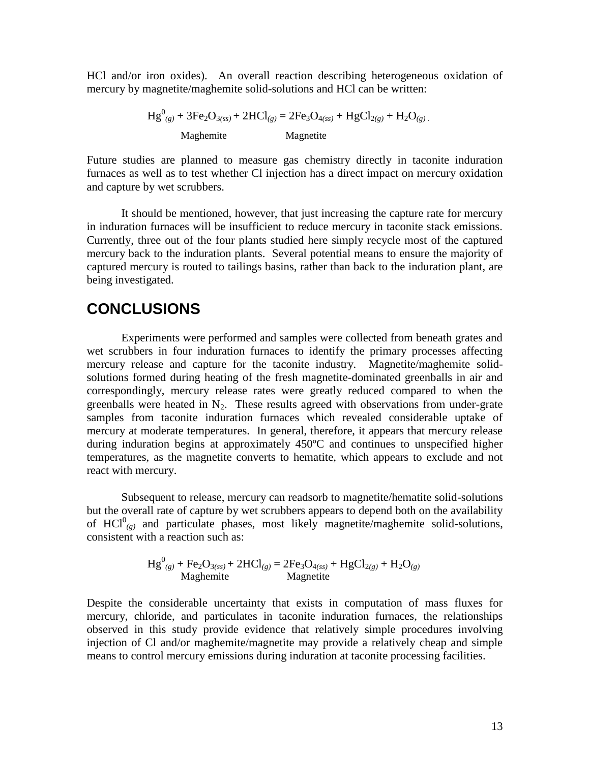HCl and/or iron oxides). An overall reaction describing heterogeneous oxidation of mercury by magnetite/maghemite solid-solutions and HCl can be written:

 $Hg_{(g)}^0 + 3Fe_2O_{3(ss)} + 2HCl_{(g)} = 2Fe_3O_{4(ss)} + HgCl_{2(g)} + H_2O_{(g)}$ . Maghemite Magnetite

Future studies are planned to measure gas chemistry directly in taconite induration furnaces as well as to test whether Cl injection has a direct impact on mercury oxidation and capture by wet scrubbers.

It should be mentioned, however, that just increasing the capture rate for mercury in induration furnaces will be insufficient to reduce mercury in taconite stack emissions. Currently, three out of the four plants studied here simply recycle most of the captured mercury back to the induration plants. Several potential means to ensure the majority of captured mercury is routed to tailings basins, rather than back to the induration plant, are being investigated.

#### **CONCLUSIONS**

Experiments were performed and samples were collected from beneath grates and wet scrubbers in four induration furnaces to identify the primary processes affecting mercury release and capture for the taconite industry. Magnetite/maghemite solidsolutions formed during heating of the fresh magnetite-dominated greenballs in air and correspondingly, mercury release rates were greatly reduced compared to when the greenballs were heated in  $N_2$ . These results agreed with observations from under-grate samples from taconite induration furnaces which revealed considerable uptake of mercury at moderate temperatures. In general, therefore, it appears that mercury release during induration begins at approximately 450ºC and continues to unspecified higher temperatures, as the magnetite converts to hematite, which appears to exclude and not react with mercury.

Subsequent to release, mercury can readsorb to magnetite/hematite solid-solutions but the overall rate of capture by wet scrubbers appears to depend both on the availability of  $\text{HCl}_{(g)}^0$  and particulate phases, most likely magnetite/maghemite solid-solutions, consistent with a reaction such as:

$$
Hg^{0}_{(g)} + Fe_{2}O_{3(ss)} + 2HCl_{(g)} = 2Fe_{3}O_{4(ss)} + HgCl_{2(g)} + H_{2}O_{(g)}
$$
  
Maghemite Magnetic

Despite the considerable uncertainty that exists in computation of mass fluxes for mercury, chloride, and particulates in taconite induration furnaces, the relationships observed in this study provide evidence that relatively simple procedures involving injection of Cl and/or maghemite/magnetite may provide a relatively cheap and simple means to control mercury emissions during induration at taconite processing facilities.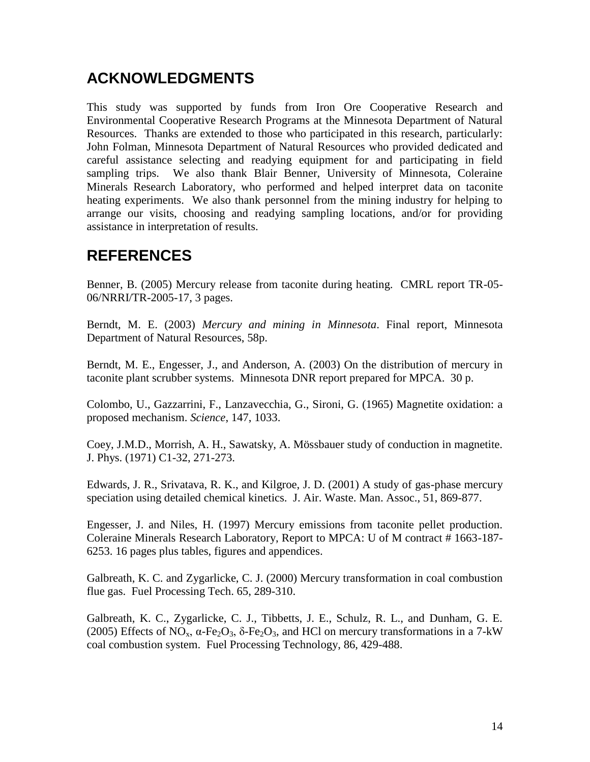# **ACKNOWLEDGMENTS**

This study was supported by funds from Iron Ore Cooperative Research and Environmental Cooperative Research Programs at the Minnesota Department of Natural Resources. Thanks are extended to those who participated in this research, particularly: John Folman, Minnesota Department of Natural Resources who provided dedicated and careful assistance selecting and readying equipment for and participating in field sampling trips. We also thank Blair Benner, University of Minnesota, Coleraine Minerals Research Laboratory, who performed and helped interpret data on taconite heating experiments. We also thank personnel from the mining industry for helping to arrange our visits, choosing and readying sampling locations, and/or for providing assistance in interpretation of results.

## **REFERENCES**

Benner, B. (2005) Mercury release from taconite during heating. CMRL report TR-05- 06/NRRI/TR-2005-17, 3 pages.

Berndt, M. E. (2003) *Mercury and mining in Minnesota*. Final report, Minnesota Department of Natural Resources, 58p.

Berndt, M. E., Engesser, J., and Anderson, A. (2003) On the distribution of mercury in taconite plant scrubber systems. Minnesota DNR report prepared for MPCA. 30 p.

Colombo, U., Gazzarrini, F., Lanzavecchia, G., Sironi, G. (1965) Magnetite oxidation: a proposed mechanism. *Science*, 147, 1033.

Coey, J.M.D., Morrish, A. H., Sawatsky, A. Mössbauer study of conduction in magnetite. J. Phys. (1971) C1-32, 271-273.

Edwards, J. R., Srivatava, R. K., and Kilgroe, J. D. (2001) A study of gas-phase mercury speciation using detailed chemical kinetics. J. Air. Waste. Man. Assoc., 51, 869-877.

Engesser, J. and Niles, H. (1997) Mercury emissions from taconite pellet production. Coleraine Minerals Research Laboratory, Report to MPCA: U of M contract # 1663-187- 6253. 16 pages plus tables, figures and appendices.

Galbreath, K. C. and Zygarlicke, C. J. (2000) Mercury transformation in coal combustion flue gas. Fuel Processing Tech. 65, 289-310.

Galbreath, K. C., Zygarlicke, C. J., Tibbetts, J. E., Schulz, R. L., and Dunham, G. E. (2005) Effects of NO<sub>x</sub>,  $\alpha$ -Fe<sub>2</sub>O<sub>3</sub>,  $\delta$ -Fe<sub>2</sub>O<sub>3</sub>, and HCl on mercury transformations in a 7-kW coal combustion system. Fuel Processing Technology, 86, 429-488.